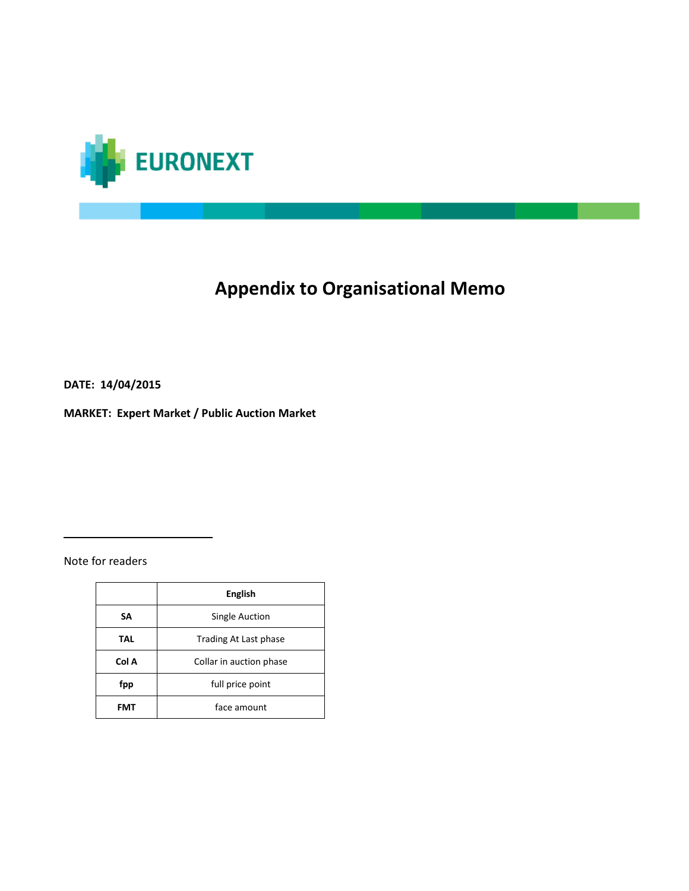

# **Appendix to Organisational Memo**

**DATE: 14/04/2015**

**MARKET: Expert Market / Public Auction Market**

Note for readers

 $\overline{\phantom{a}}$  , where  $\overline{\phantom{a}}$  , where  $\overline{\phantom{a}}$ 

|            | <b>English</b>          |  |
|------------|-------------------------|--|
| SA         | Single Auction          |  |
| <b>TAL</b> | Trading At Last phase   |  |
| Col A      | Collar in auction phase |  |
| fpp        | full price point        |  |
| FMT        | face amount             |  |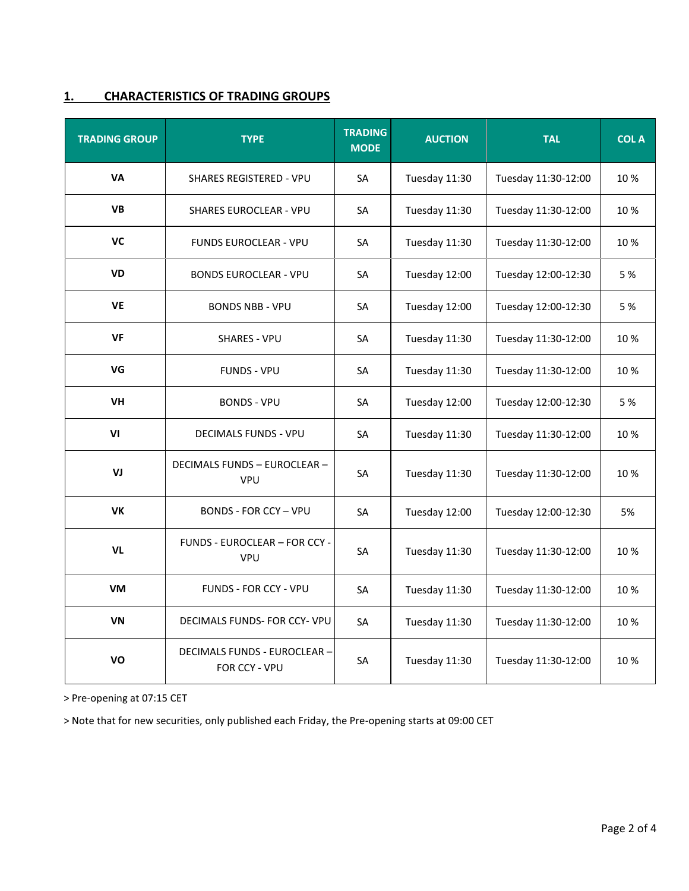## **1. CHARACTERISTICS OF TRADING GROUPS**

| <b>TRADING GROUP</b> | <b>TYPE</b>                                          | <b>TRADING</b><br><b>MODE</b> | <b>AUCTION</b> | <b>TAL</b>          | <b>COLA</b> |
|----------------------|------------------------------------------------------|-------------------------------|----------------|---------------------|-------------|
| <b>VA</b>            | <b>SHARES REGISTERED - VPU</b>                       | SA                            | Tuesday 11:30  | Tuesday 11:30-12:00 | 10%         |
| <b>VB</b>            | <b>SHARES EUROCLEAR - VPU</b>                        | <b>SA</b>                     | Tuesday 11:30  | Tuesday 11:30-12:00 | 10%         |
| VC                   | <b>FUNDS EUROCLEAR - VPU</b>                         | <b>SA</b>                     | Tuesday 11:30  | Tuesday 11:30-12:00 | 10%         |
| <b>VD</b>            | <b>BONDS EUROCLEAR - VPU</b>                         | SA                            | Tuesday 12:00  | Tuesday 12:00-12:30 | 5 %         |
| <b>VE</b>            | <b>BONDS NBB - VPU</b>                               | <b>SA</b>                     | Tuesday 12:00  | Tuesday 12:00-12:30 | 5 %         |
| <b>VF</b>            | <b>SHARES - VPU</b>                                  | SA                            | Tuesday 11:30  | Tuesday 11:30-12:00 | 10%         |
| VG                   | <b>FUNDS - VPU</b>                                   | <b>SA</b>                     | Tuesday 11:30  | Tuesday 11:30-12:00 | 10%         |
| VH                   | <b>BONDS - VPU</b>                                   | <b>SA</b>                     | Tuesday 12:00  | Tuesday 12:00-12:30 | 5 %         |
| VI                   | <b>DECIMALS FUNDS - VPU</b>                          | <b>SA</b>                     | Tuesday 11:30  | Tuesday 11:30-12:00 | 10%         |
| VJ                   | <b>DECIMALS FUNDS - EUROCLEAR -</b><br><b>VPU</b>    | SA                            | Tuesday 11:30  | Tuesday 11:30-12:00 | 10%         |
| <b>VK</b>            | <b>BONDS - FOR CCY - VPU</b>                         | <b>SA</b>                     | Tuesday 12:00  | Tuesday 12:00-12:30 | 5%          |
| VL                   | FUNDS - EUROCLEAR - FOR CCY -<br><b>VPU</b>          | <b>SA</b>                     | Tuesday 11:30  | Tuesday 11:30-12:00 | 10%         |
| <b>VM</b>            | FUNDS - FOR CCY - VPU                                | SA                            | Tuesday 11:30  | Tuesday 11:30-12:00 | 10%         |
| <b>VN</b>            | DECIMALS FUNDS- FOR CCY- VPU                         | SA                            | Tuesday 11:30  | Tuesday 11:30-12:00 | 10%         |
| VO                   | <b>DECIMALS FUNDS - EUROCLEAR -</b><br>FOR CCY - VPU | SA                            | Tuesday 11:30  | Tuesday 11:30-12:00 | 10%         |

> Pre-opening at 07:15 CET

> Note that for new securities, only published each Friday, the Pre-opening starts at 09:00 CET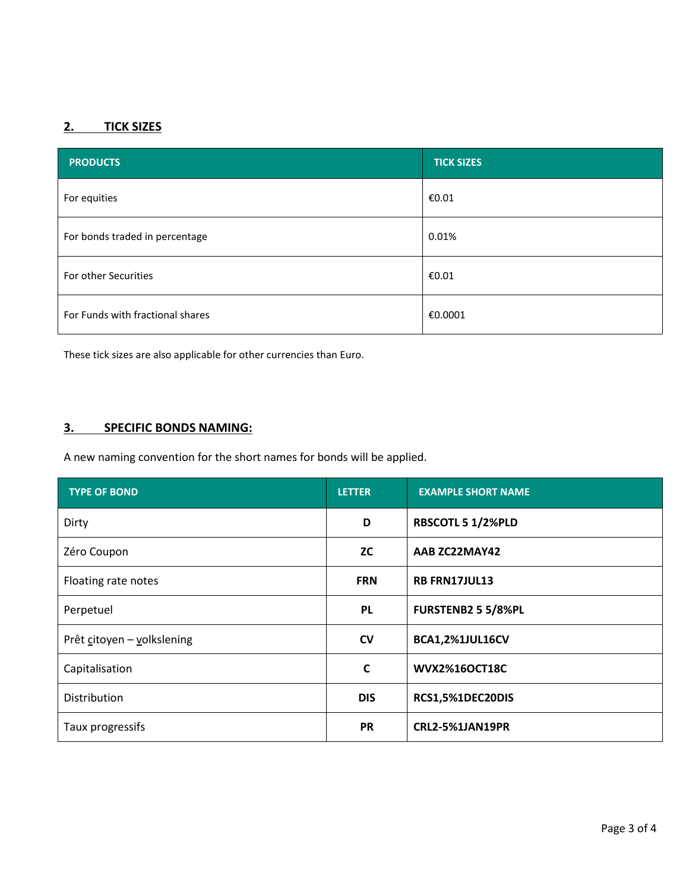# **2. TICK SIZES**

| <b>PRODUCTS</b>                  | <b>TICK SIZES</b> |
|----------------------------------|-------------------|
| For equities                     | €0.01             |
| For bonds traded in percentage   | 0.01%             |
| For other Securities             | €0.01             |
| For Funds with fractional shares | €0.0001           |

These tick sizes are also applicable for other currencies than Euro.

## **3. SPECIFIC BONDS NAMING:**

A new naming convention for the short names for bonds will be applied.

| <b>TYPE OF BOND</b>        | <b>LETTER</b> | <b>EXAMPLE SHORT NAME</b> |
|----------------------------|---------------|---------------------------|
| Dirty                      | D             | RBSCOTL 5 1/2%PLD         |
| Zéro Coupon                | <b>ZC</b>     | AAB ZC22MAY42             |
| Floating rate notes        | <b>FRN</b>    | <b>RB FRN17JUL13</b>      |
| Perpetuel                  | <b>PL</b>     | <b>FURSTENB2 5 5/8%PL</b> |
| Prêt citoyen - volkslening | <b>CV</b>     | <b>BCA1,2%1JUL16CV</b>    |
| Capitalisation             | $\mathbf c$   | <b>WVX2%16OCT18C</b>      |
| Distribution               | <b>DIS</b>    | RCS1,5%1DEC20DIS          |
| Taux progressifs           | <b>PR</b>     | <b>CRL2-5%1JAN19PR</b>    |